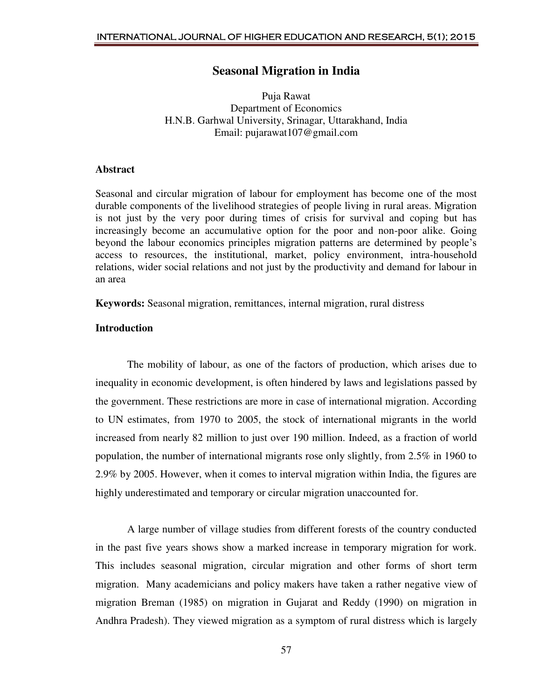# **Seasonal Migration in India**

Puja Rawat Department of Economics H.N.B. Garhwal University, Srinagar, Uttarakhand, India Email: pujarawat107@gmail.com

## **Abstract**

Seasonal and circular migration of labour for employment has become one of the most durable components of the livelihood strategies of people living in rural areas. Migration is not just by the very poor during times of crisis for survival and coping but has increasingly become an accumulative option for the poor and non-poor alike. Going beyond the labour economics principles migration patterns are determined by people's access to resources, the institutional, market, policy environment, intra-household relations, wider social relations and not just by the productivity and demand for labour in an area

**Keywords:** Seasonal migration, remittances, internal migration, rural distress

# **Introduction**

 The mobility of labour, as one of the factors of production, which arises due to inequality in economic development, is often hindered by laws and legislations passed by the government. These restrictions are more in case of international migration. According to UN estimates, from 1970 to 2005, the stock of international migrants in the world increased from nearly 82 million to just over 190 million. Indeed, as a fraction of world population, the number of international migrants rose only slightly, from 2.5% in 1960 to 2.9% by 2005. However, when it comes to interval migration within India, the figures are highly underestimated and temporary or circular migration unaccounted for.

 A large number of village studies from different forests of the country conducted in the past five years shows show a marked increase in temporary migration for work. This includes seasonal migration, circular migration and other forms of short term migration. Many academicians and policy makers have taken a rather negative view of migration Breman (1985) on migration in Gujarat and Reddy (1990) on migration in Andhra Pradesh). They viewed migration as a symptom of rural distress which is largely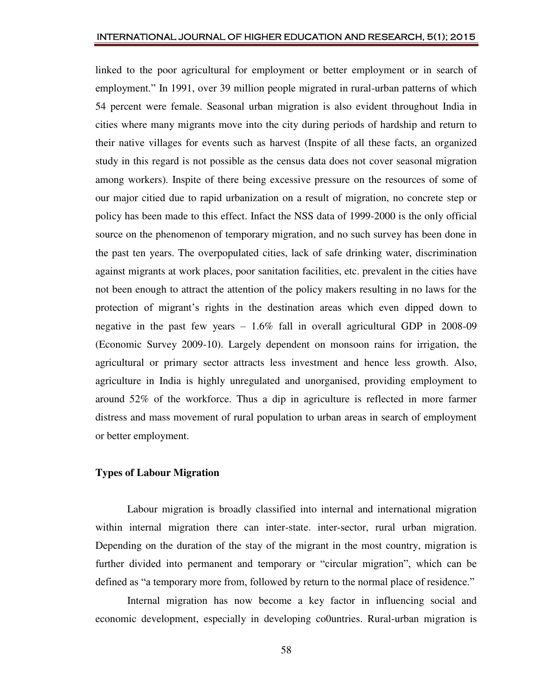linked to the poor agricultural for employment or better employment or in search of employment." In 1991, over 39 million people migrated in rural-urban patterns of which 54 percent were female. Seasonal urban migration is also evident throughout India in cities where many migrants move into the city during periods of hardship and return to their native villages for events such as harvest (Inspite of all these facts, an organized study in this regard is not possible as the census data does not cover seasonal migration among workers). Inspite of there being excessive pressure on the resources of some of our major citied due to rapid urbanization on a result of migration, no concrete step or policy has been made to this effect. Infact the NSS data of 1999-2000 is the only official source on the phenomenon of temporary migration, and no such survey has been done in the past ten years. The overpopulated cities, lack of safe drinking water, discrimination against migrants at work places, poor sanitation facilities, etc. prevalent in the cities have not been enough to attract the attention of the policy makers resulting in no laws for the protection of migrant's rights in the destination areas which even dipped down to negative in the past few years – 1.6% fall in overall agricultural GDP in 2008-09 (Economic Survey 2009-10). Largely dependent on monsoon rains for irrigation, the agricultural or primary sector attracts less investment and hence less growth. Also, agriculture in India is highly unregulated and unorganised, providing employment to around 52% of the workforce. Thus a dip in agriculture is reflected in more farmer distress and mass movement of rural population to urban areas in search of employment or better employment.

## **Types of Labour Migration**

 Labour migration is broadly classified into internal and international migration within internal migration there can inter-state. inter-sector, rural urban migration. Depending on the duration of the stay of the migrant in the most country, migration is further divided into permanent and temporary or "circular migration", which can be defined as "a temporary more from, followed by return to the normal place of residence."

 Internal migration has now become a key factor in influencing social and economic development, especially in developing co0untries. Rural-urban migration is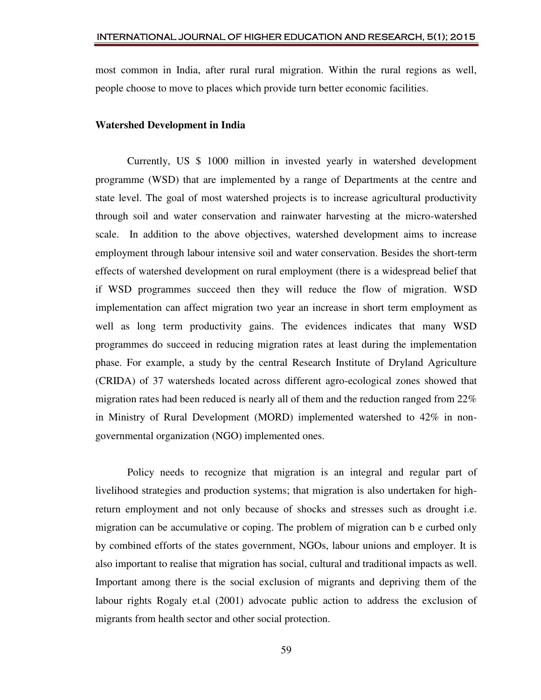most common in India, after rural rural migration. Within the rural regions as well, people choose to move to places which provide turn better economic facilities.

#### **Watershed Development in India**

 Currently, US \$ 1000 million in invested yearly in watershed development programme (WSD) that are implemented by a range of Departments at the centre and state level. The goal of most watershed projects is to increase agricultural productivity through soil and water conservation and rainwater harvesting at the micro-watershed scale. In addition to the above objectives, watershed development aims to increase employment through labour intensive soil and water conservation. Besides the short-term effects of watershed development on rural employment (there is a widespread belief that if WSD programmes succeed then they will reduce the flow of migration. WSD implementation can affect migration two year an increase in short term employment as well as long term productivity gains. The evidences indicates that many WSD programmes do succeed in reducing migration rates at least during the implementation phase. For example, a study by the central Research Institute of Dryland Agriculture (CRIDA) of 37 watersheds located across different agro-ecological zones showed that migration rates had been reduced is nearly all of them and the reduction ranged from  $22\%$ in Ministry of Rural Development (MORD) implemented watershed to 42% in nongovernmental organization (NGO) implemented ones.

 Policy needs to recognize that migration is an integral and regular part of livelihood strategies and production systems; that migration is also undertaken for highreturn employment and not only because of shocks and stresses such as drought i.e. migration can be accumulative or coping. The problem of migration can b e curbed only by combined efforts of the states government, NGOs, labour unions and employer. It is also important to realise that migration has social, cultural and traditional impacts as well. Important among there is the social exclusion of migrants and depriving them of the labour rights Rogaly et.al (2001) advocate public action to address the exclusion of migrants from health sector and other social protection.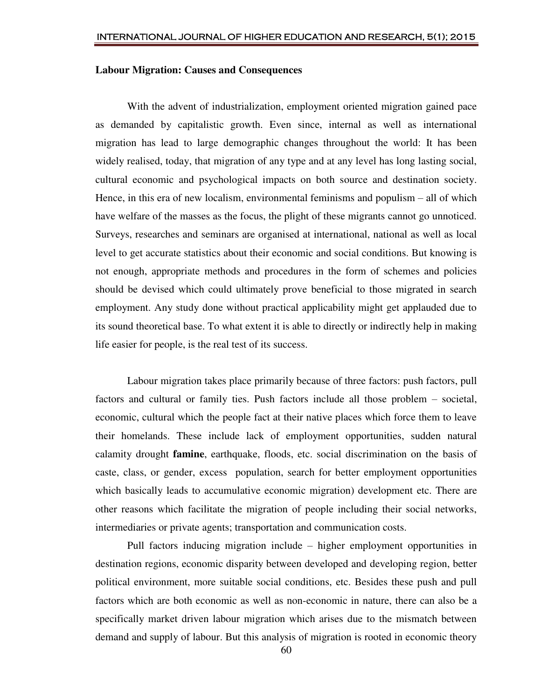## **Labour Migration: Causes and Consequences**

 With the advent of industrialization, employment oriented migration gained pace as demanded by capitalistic growth. Even since, internal as well as international migration has lead to large demographic changes throughout the world: It has been widely realised, today, that migration of any type and at any level has long lasting social, cultural economic and psychological impacts on both source and destination society. Hence, in this era of new localism, environmental feminisms and populism – all of which have welfare of the masses as the focus, the plight of these migrants cannot go unnoticed. Surveys, researches and seminars are organised at international, national as well as local level to get accurate statistics about their economic and social conditions. But knowing is not enough, appropriate methods and procedures in the form of schemes and policies should be devised which could ultimately prove beneficial to those migrated in search employment. Any study done without practical applicability might get applauded due to its sound theoretical base. To what extent it is able to directly or indirectly help in making life easier for people, is the real test of its success.

 Labour migration takes place primarily because of three factors: push factors, pull factors and cultural or family ties. Push factors include all those problem – societal, economic, cultural which the people fact at their native places which force them to leave their homelands. These include lack of employment opportunities, sudden natural calamity drought **famine**, earthquake, floods, etc. social discrimination on the basis of caste, class, or gender, excess population, search for better employment opportunities which basically leads to accumulative economic migration) development etc. There are other reasons which facilitate the migration of people including their social networks, intermediaries or private agents; transportation and communication costs.

 Pull factors inducing migration include – higher employment opportunities in destination regions, economic disparity between developed and developing region, better political environment, more suitable social conditions, etc. Besides these push and pull factors which are both economic as well as non-economic in nature, there can also be a specifically market driven labour migration which arises due to the mismatch between demand and supply of labour. But this analysis of migration is rooted in economic theory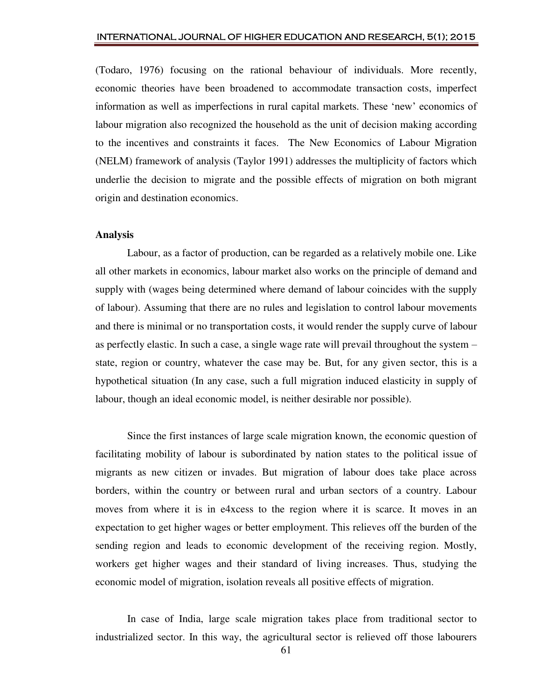(Todaro, 1976) focusing on the rational behaviour of individuals. More recently, economic theories have been broadened to accommodate transaction costs, imperfect information as well as imperfections in rural capital markets. These 'new' economics of labour migration also recognized the household as the unit of decision making according to the incentives and constraints it faces. The New Economics of Labour Migration (NELM) framework of analysis (Taylor 1991) addresses the multiplicity of factors which underlie the decision to migrate and the possible effects of migration on both migrant origin and destination economics.

#### **Analysis**

 Labour, as a factor of production, can be regarded as a relatively mobile one. Like all other markets in economics, labour market also works on the principle of demand and supply with (wages being determined where demand of labour coincides with the supply of labour). Assuming that there are no rules and legislation to control labour movements and there is minimal or no transportation costs, it would render the supply curve of labour as perfectly elastic. In such a case, a single wage rate will prevail throughout the system – state, region or country, whatever the case may be. But, for any given sector, this is a hypothetical situation (In any case, such a full migration induced elasticity in supply of labour, though an ideal economic model, is neither desirable nor possible).

 Since the first instances of large scale migration known, the economic question of facilitating mobility of labour is subordinated by nation states to the political issue of migrants as new citizen or invades. But migration of labour does take place across borders, within the country or between rural and urban sectors of a country. Labour moves from where it is in e4xcess to the region where it is scarce. It moves in an expectation to get higher wages or better employment. This relieves off the burden of the sending region and leads to economic development of the receiving region. Mostly, workers get higher wages and their standard of living increases. Thus, studying the economic model of migration, isolation reveals all positive effects of migration.

 In case of India, large scale migration takes place from traditional sector to industrialized sector. In this way, the agricultural sector is relieved off those labourers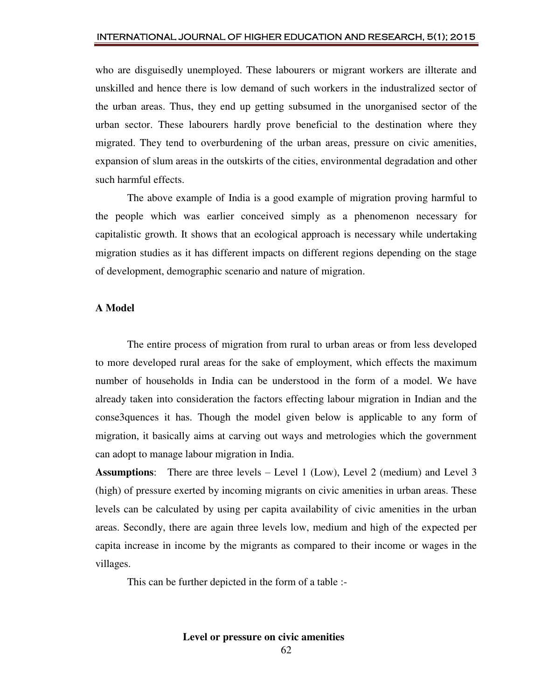who are disguisedly unemployed. These labourers or migrant workers are illterate and unskilled and hence there is low demand of such workers in the industralized sector of the urban areas. Thus, they end up getting subsumed in the unorganised sector of the urban sector. These labourers hardly prove beneficial to the destination where they migrated. They tend to overburdening of the urban areas, pressure on civic amenities, expansion of slum areas in the outskirts of the cities, environmental degradation and other such harmful effects.

 The above example of India is a good example of migration proving harmful to the people which was earlier conceived simply as a phenomenon necessary for capitalistic growth. It shows that an ecological approach is necessary while undertaking migration studies as it has different impacts on different regions depending on the stage of development, demographic scenario and nature of migration.

#### **A Model**

 The entire process of migration from rural to urban areas or from less developed to more developed rural areas for the sake of employment, which effects the maximum number of households in India can be understood in the form of a model. We have already taken into consideration the factors effecting labour migration in Indian and the conse3quences it has. Though the model given below is applicable to any form of migration, it basically aims at carving out ways and metrologies which the government can adopt to manage labour migration in India.

**Assumptions**: There are three levels – Level 1 (Low), Level 2 (medium) and Level 3 (high) of pressure exerted by incoming migrants on civic amenities in urban areas. These levels can be calculated by using per capita availability of civic amenities in the urban areas. Secondly, there are again three levels low, medium and high of the expected per capita increase in income by the migrants as compared to their income or wages in the villages.

This can be further depicted in the form of a table :-

**Level or pressure on civic amenities**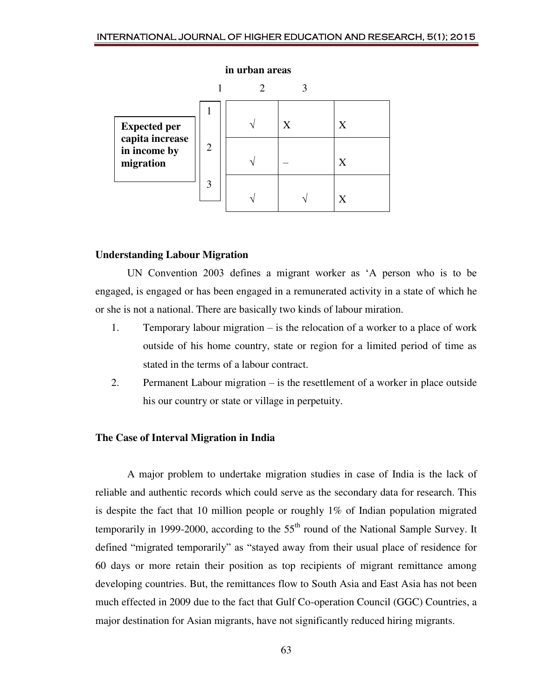

## **Understanding Labour Migration**

UN Convention 2003 defines a migrant worker as 'A person who is to be engaged, is engaged or has been engaged in a remunerated activity in a state of which he or she is not a national. There are basically two kinds of labour miration.

- 1. Temporary labour migration is the relocation of a worker to a place of work outside of his home country, state or region for a limited period of time as stated in the terms of a labour contract.
- 2. Permanent Labour migration is the resettlement of a worker in place outside his our country or state or village in perpetuity.

## **The Case of Interval Migration in India**

 A major problem to undertake migration studies in case of India is the lack of reliable and authentic records which could serve as the secondary data for research. This is despite the fact that 10 million people or roughly 1% of Indian population migrated temporarily in 1999-2000, according to the  $55<sup>th</sup>$  round of the National Sample Survey. It defined "migrated temporarily" as "stayed away from their usual place of residence for 60 days or more retain their position as top recipients of migrant remittance among developing countries. But, the remittances flow to South Asia and East Asia has not been much effected in 2009 due to the fact that Gulf Co-operation Council (GGC) Countries, a major destination for Asian migrants, have not significantly reduced hiring migrants.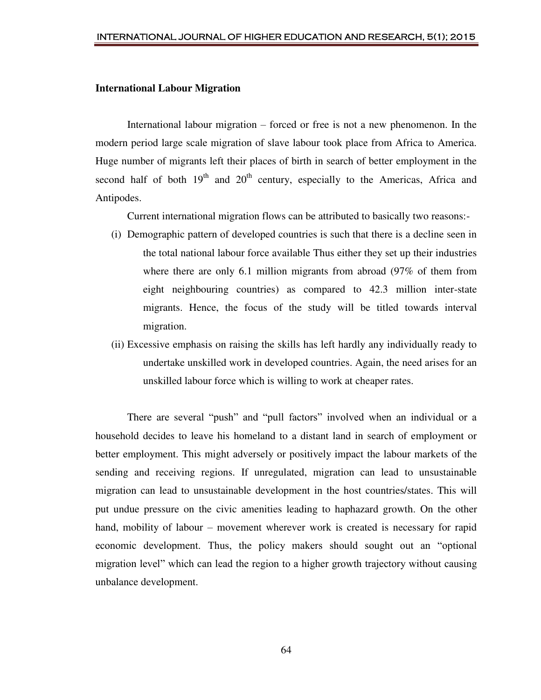### **International Labour Migration**

 International labour migration – forced or free is not a new phenomenon. In the modern period large scale migration of slave labour took place from Africa to America. Huge number of migrants left their places of birth in search of better employment in the second half of both  $19<sup>th</sup>$  and  $20<sup>th</sup>$  century, especially to the Americas, Africa and Antipodes.

Current international migration flows can be attributed to basically two reasons:-

- (i) Demographic pattern of developed countries is such that there is a decline seen in the total national labour force available Thus either they set up their industries where there are only 6.1 million migrants from abroad (97% of them from eight neighbouring countries) as compared to 42.3 million inter-state migrants. Hence, the focus of the study will be titled towards interval migration.
- (ii) Excessive emphasis on raising the skills has left hardly any individually ready to undertake unskilled work in developed countries. Again, the need arises for an unskilled labour force which is willing to work at cheaper rates.

 There are several "push" and "pull factors" involved when an individual or a household decides to leave his homeland to a distant land in search of employment or better employment. This might adversely or positively impact the labour markets of the sending and receiving regions. If unregulated, migration can lead to unsustainable migration can lead to unsustainable development in the host countries/states. This will put undue pressure on the civic amenities leading to haphazard growth. On the other hand, mobility of labour – movement wherever work is created is necessary for rapid economic development. Thus, the policy makers should sought out an "optional migration level" which can lead the region to a higher growth trajectory without causing unbalance development.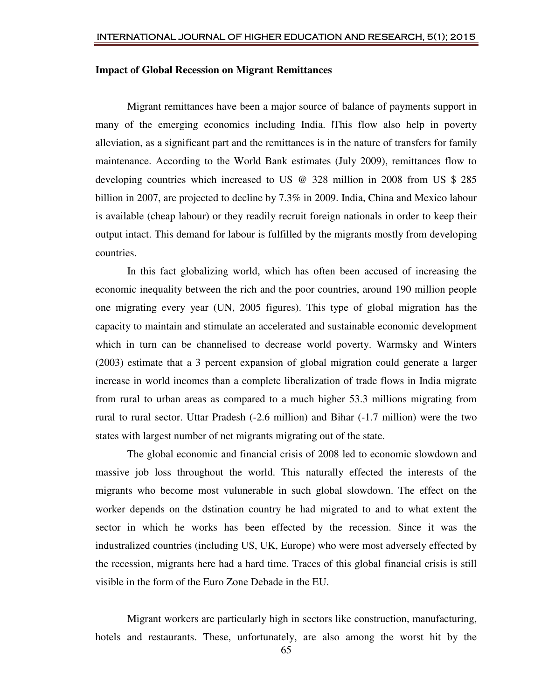#### **Impact of Global Recession on Migrant Remittances**

 Migrant remittances have been a major source of balance of payments support in many of the emerging economics including India. This flow also help in poverty alleviation, as a significant part and the remittances is in the nature of transfers for family maintenance. According to the World Bank estimates (July 2009), remittances flow to developing countries which increased to US @ 328 million in 2008 from US \$ 285 billion in 2007, are projected to decline by 7.3% in 2009. India, China and Mexico labour is available (cheap labour) or they readily recruit foreign nationals in order to keep their output intact. This demand for labour is fulfilled by the migrants mostly from developing countries.

 In this fact globalizing world, which has often been accused of increasing the economic inequality between the rich and the poor countries, around 190 million people one migrating every year (UN, 2005 figures). This type of global migration has the capacity to maintain and stimulate an accelerated and sustainable economic development which in turn can be channelised to decrease world poverty. Warmsky and Winters (2003) estimate that a 3 percent expansion of global migration could generate a larger increase in world incomes than a complete liberalization of trade flows in India migrate from rural to urban areas as compared to a much higher 53.3 millions migrating from rural to rural sector. Uttar Pradesh (-2.6 million) and Bihar (-1.7 million) were the two states with largest number of net migrants migrating out of the state.

 The global economic and financial crisis of 2008 led to economic slowdown and massive job loss throughout the world. This naturally effected the interests of the migrants who become most vulunerable in such global slowdown. The effect on the worker depends on the dstination country he had migrated to and to what extent the sector in which he works has been effected by the recession. Since it was the industralized countries (including US, UK, Europe) who were most adversely effected by the recession, migrants here had a hard time. Traces of this global financial crisis is still visible in the form of the Euro Zone Debade in the EU.

 Migrant workers are particularly high in sectors like construction, manufacturing, hotels and restaurants. These, unfortunately, are also among the worst hit by the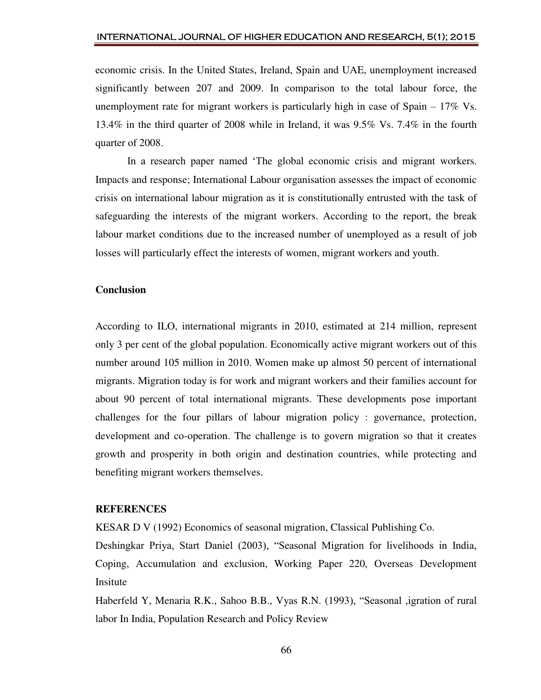economic crisis. In the United States, Ireland, Spain and UAE, unemployment increased significantly between 207 and 2009. In comparison to the total labour force, the unemployment rate for migrant workers is particularly high in case of Spain – 17% Vs. 13.4% in the third quarter of 2008 while in Ireland, it was 9.5% Vs. 7.4% in the fourth quarter of 2008.

In a research paper named 'The global economic crisis and migrant workers. Impacts and response; International Labour organisation assesses the impact of economic crisis on international labour migration as it is constitutionally entrusted with the task of safeguarding the interests of the migrant workers. According to the report, the break labour market conditions due to the increased number of unemployed as a result of job losses will particularly effect the interests of women, migrant workers and youth.

#### **Conclusion**

According to ILO, international migrants in 2010, estimated at 214 million, represent only 3 per cent of the global population. Economically active migrant workers out of this number around 105 million in 2010. Women make up almost 50 percent of international migrants. Migration today is for work and migrant workers and their families account for about 90 percent of total international migrants. These developments pose important challenges for the four pillars of labour migration policy : governance, protection, development and co-operation. The challenge is to govern migration so that it creates growth and prosperity in both origin and destination countries, while protecting and benefiting migrant workers themselves.

#### **REFERENCES**

KESAR D V (1992) Economics of seasonal migration, Classical Publishing Co.

Deshingkar Priya, Start Daniel (2003), "Seasonal Migration for livelihoods in India, Coping, Accumulation and exclusion, Working Paper 220, Overseas Development Insitute

Haberfeld Y, Menaria R.K., Sahoo B.B., Vyas R.N. (1993), "Seasonal ,igration of rural labor In India, Population Research and Policy Review